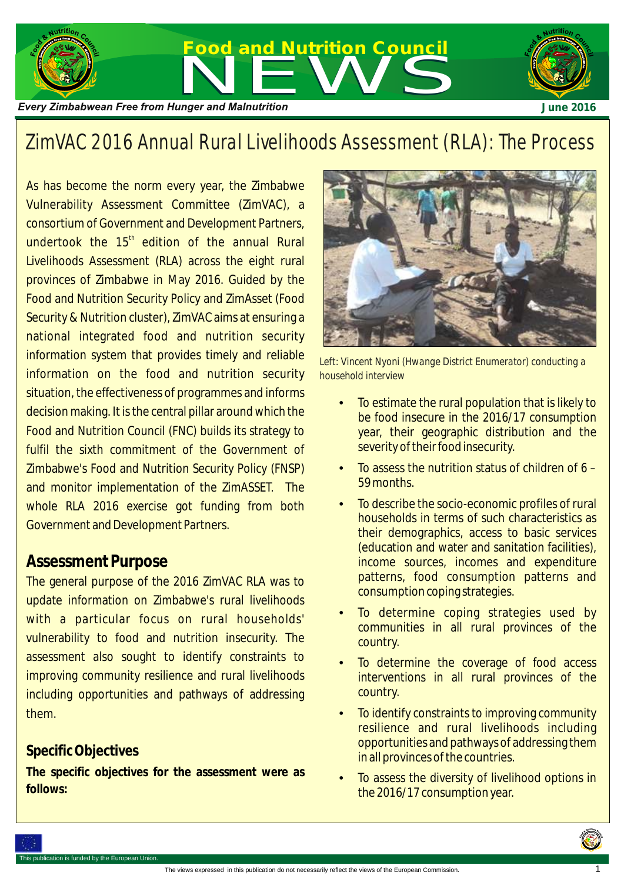

# ZimVAC 2016 Annual Rural Livelihoods Assessment (RLA): The Process

As has become the norm every year, the Zimbabwe Vulnerability Assessment Committee (ZimVAC), a consortium of Government and Development Partners, undertook the 15<sup>th</sup> edition of the annual Rural Livelihoods Assessment (RLA) across the eight rural provinces of Zimbabwe in May 2016. Guided by the Food and Nutrition Security Policy and ZimAsset (Food Security & Nutrition cluster), ZimVAC aims at ensuring a national integrated food and nutrition security information system that provides timely and reliable information on the food and nutrition security situation, the effectiveness of programmes and informs decision making. It is the central pillar around which the Food and Nutrition Council (FNC) builds its strategy to fulfil the sixth commitment of the Government of Zimbabwe's Food and Nutrition Security Policy (FNSP) and monitor implementation of the ZimASSET. The whole RLA 2016 exercise got funding from both Government and Development Partners.

#### **Assessment Purpose**

The general purpose of the 2016 ZimVAC RLA was to update information on Zimbabwe's rural livelihoods with a particular focus on rural households' vulnerability to food and nutrition insecurity. The assessment also sought to identify constraints to improving community resilience and rural livelihoods including opportunities and pathways of addressing them.

#### **Specific Objectives**

**The specific objectives for the assessment were as follows:**



*Left: Vincent Nyoni (Hwange District Enumerator) conducting a household interview*

- To estimate the rural population that is likely to be food insecure in the 2016/17 consumption year, their geographic distribution and the severity of their food insecurity.
- To assess the nutrition status of children of 6 59 months.
- To describe the socio-economic profiles of rural households in terms of such characteristics as their demographics, access to basic services (education and water and sanitation facilities), income sources, incomes and expenditure patterns, food consumption patterns and consumption coping strategies.
- To determine coping strategies used by communities in all rural provinces of the country.
- To determine the coverage of food access interventions in all rural provinces of the country.
- To identify constraints to improving community resilience and rural livelihoods including opportunities and pathways of addressing them in all provinces of the countries.
- To assess the diversity of livelihood options in the 2016/17 consumption year.

1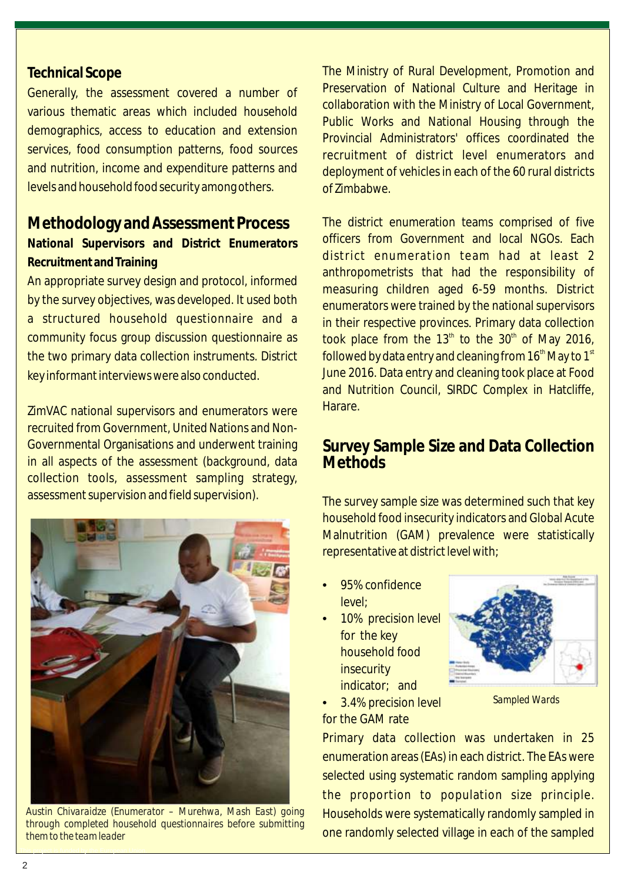#### **Technical Scope**

Generally, the assessment covered a number of various thematic areas which included household demographics, access to education and extension services, food consumption patterns, food sources and nutrition, income and expenditure patterns and levels and household food security among others.

#### **Methodology and Assessment Process**

**National Supervisors and District Enumerators Recruitment and Training**

An appropriate survey design and protocol, informed by the survey objectives, was developed. It used both a structured household questionnaire and a community focus group discussion questionnaire as the two primary data collection instruments. District key informant interviews were also conducted.

ZimVAC national supervisors and enumerators were recruited from Government, United Nations and Non-Governmental Organisations and underwent training in all aspects of the assessment (background, data collection tools, assessment sampling strategy, assessment supervision and field supervision).



*Austin Chivaraidze (Enumerator – Murehwa, Mash East) going through completed household questionnaires before submitting them to the team leader*

The Ministry of Rural Development, Promotion and Preservation of National Culture and Heritage in collaboration with the Ministry of Local Government, Public Works and National Housing through the Provincial Administrators' offices coordinated the recruitment of district level enumerators and deployment of vehicles in each of the 60 rural districts of Zimbabwe.

The district enumeration teams comprised of five officers from Government and local NGOs. Each district enumeration team had at least 2 anthropometrists that had the responsibility of measuring children aged 6-59 months. District enumerators were trained by the national supervisors in their respective provinces. Primary data collection took place from the  $13<sup>th</sup>$  to the  $30<sup>th</sup>$  of May 2016, followed by data entry and cleaning from  $16<sup>th</sup>$  May to  $1<sup>st</sup>$ June 2016. Data entry and cleaning took place at Food and Nutrition Council, SIRDC Complex in Hatcliffe, Harare.

### **Survey Sample Size and Data Collection Methods**

The survey sample size was determined such that key household food insecurity indicators and Global Acute Malnutrition (GAM) prevalence were statistically representative at district level with;

- 95% confidence level;
- 10% precision level for the key household food **insecurity** indicator; and



*Sampled Wards*

• 3.4% precision level for the GAM rate

Primary data collection was undertaken in 25 enumeration areas (EAs) in each district. The EAs were selected using systematic random sampling applying the proportion to population size principle. Households were systematically randomly sampled in one randomly selected village in each of the sampled

This project is funded by the European Union.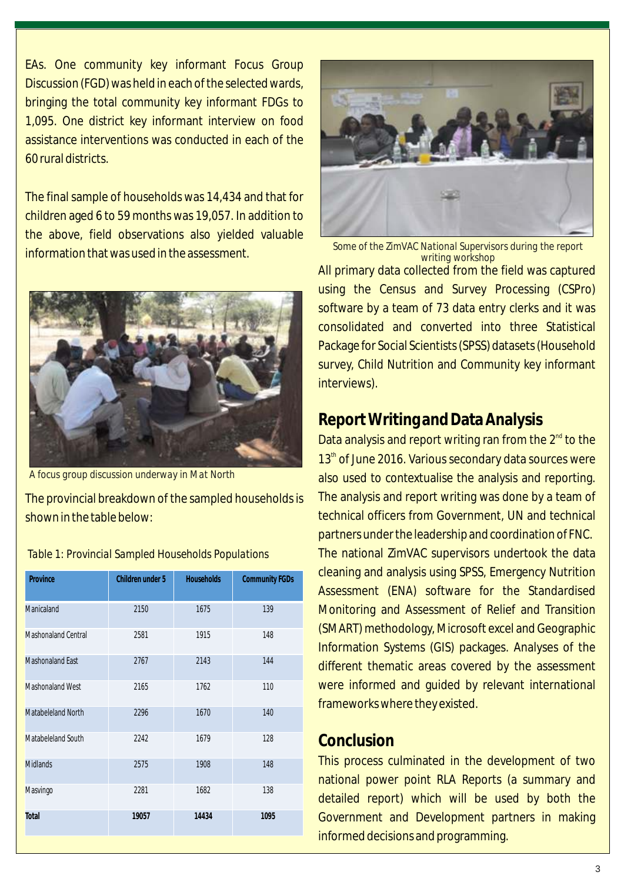EAs. One community key informant Focus Group Discussion (FGD) was held in each of the selected wards, bringing the total community key informant FDGs to 1,095. One district key informant interview on food assistance interventions was conducted in each of the 60 rural districts.

The final sample of households was 14,434 and that for children aged 6 to 59 months was 19,057. In addition to the above, field observations also yielded valuable information that was used in the assessment.



*A focus group discussion underway in Mat North*

The provincial breakdown of the sampled households is shown in the table below:

| Province                | Children under 5 | <b>Households</b> | <b>Community FGDs</b> |
|-------------------------|------------------|-------------------|-----------------------|
| Manicaland              | 2150             | 1675              | 139                   |
| Mashonaland Central     | 2581             | 1915              | 148                   |
| <b>Mashonaland East</b> | 2767             | 2143              | 144                   |
| <b>Mashonaland West</b> | 2165             | 1762              | 110                   |
| Matabeleland North      | 2296             | 1670              | 140                   |
| Matabeleland South      | 2242             | 1679              | 128                   |
| <b>Midlands</b>         | 2575             | 1908              | 148                   |
| Masvingo                | 2281             | 1682              | 138                   |
| Total                   | 19057            | 14434             | 1095                  |



All primary data collected from the field was captured using the Census and Survey Processing (CSPro) software by a team of 73 data entry clerks and it was consolidated and converted into three Statistical Package for Social Scientists (SPSS) datasets (Household survey, Child Nutrition and Community key informant interviews). *writing workshop*

## **Report Writing and Data Analysis**

Data analysis and report writing ran from the  $2<sup>nd</sup>$  to the  $13<sup>th</sup>$  of June 2016. Various secondary data sources were also used to contextualise the analysis and reporting. The analysis and report writing was done by a team of technical officers from Government, UN and technical partners under the leadership and coordination of FNC. The national ZimVAC supervisors undertook the data cleaning and analysis using SPSS, Emergency Nutrition Assessment (ENA) software for the Standardised Monitoring and Assessment of Relief and Transition (SMART) methodology, Microsoft excel and Geographic Information Systems (GIS) packages. Analyses of the different thematic areas covered by the assessment were informed and guided by relevant international frameworks where they existed.

#### **Conclusion**

This process culminated in the development of two national power point RLA Reports (a summary and detailed report) which will be used by both the Government and Development partners in making informed decisions and programming.